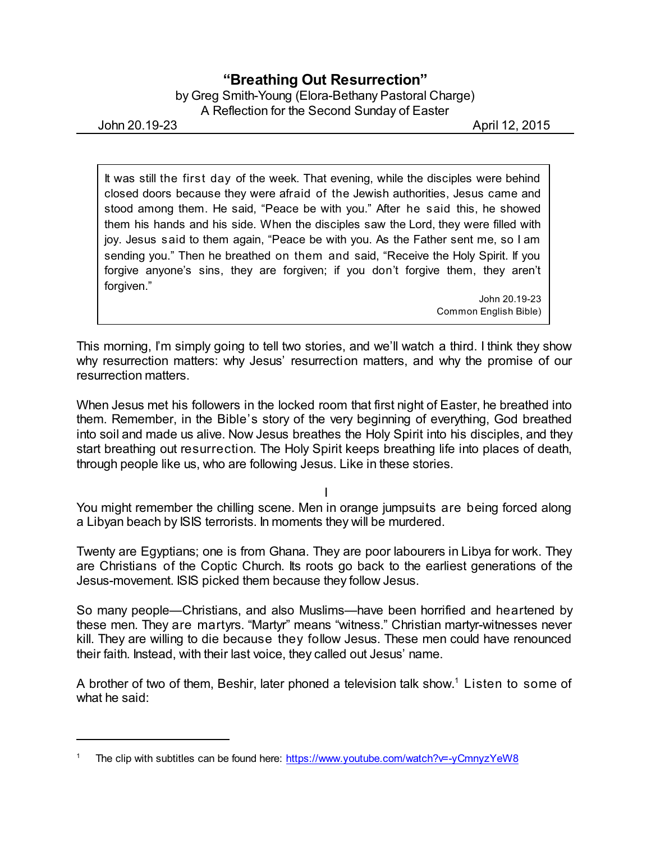## **"Breathing Out Resurrection"**

by Greg Smith-Young (Elora-Bethany Pastoral Charge) A Reflection for the Second Sunday of Easter

John 20.19-23 April 12, 2015

It was still the first day of the week. That evening, while the disciples were behind closed doors because they were afraid of the Jewish authorities, Jesus came and stood among them. He said, "Peace be with you." After he said this, he showed them his hands and his side. When the disciples saw the Lord, they were filled with joy. Jesus said to them again, "Peace be with you. As the Father sent me, so I am sending you." Then he breathed on them and said, "Receive the Holy Spirit. If you forgive anyone's sins, they are forgiven; if you don't forgive them, they aren't forgiven."

John 20.19-23 Common English Bible)

This morning, I'm simply going to tell two stories, and we'll watch a third. I think they show why resurrection matters: why Jesus' resurrection matters, and why the promise of our resurrection matters.

When Jesus met his followers in the locked room that first night of Easter, he breathed into them. Remember, in the Bible's story of the very beginning of everything, God breathed into soil and made us alive. Now Jesus breathes the Holy Spirit into his disciples, and they start breathing out resurrection. The Holy Spirit keeps breathing life into places of death, through people like us, who are following Jesus. Like in these stories.

I

You might remember the chilling scene. Men in orange jumpsuits are being forced along a Libyan beach by ISIS terrorists. In moments they will be murdered.

Twenty are Egyptians; one is from Ghana. They are poor labourers in Libya for work. They are Christians of the Coptic Church. Its roots go back to the earliest generations of the Jesus-movement. ISIS picked them because they follow Jesus.

So many people—Christians, and also Muslims—have been horrified and heartened by these men. They are martyrs. "Martyr" means "witness." Christian martyr-witnesses never kill. They are willing to die because they follow Jesus. These men could have renounced their faith. Instead, with their last voice, they called out Jesus' name.

A brother of two of them, Beshir, later phoned a television talk show. <sup>1</sup> Listen to some of what he said:

<sup>1</sup> The clip with subtitles can be found here: <https://www.youtube.com/watch?v=-yCmnyzYeW8>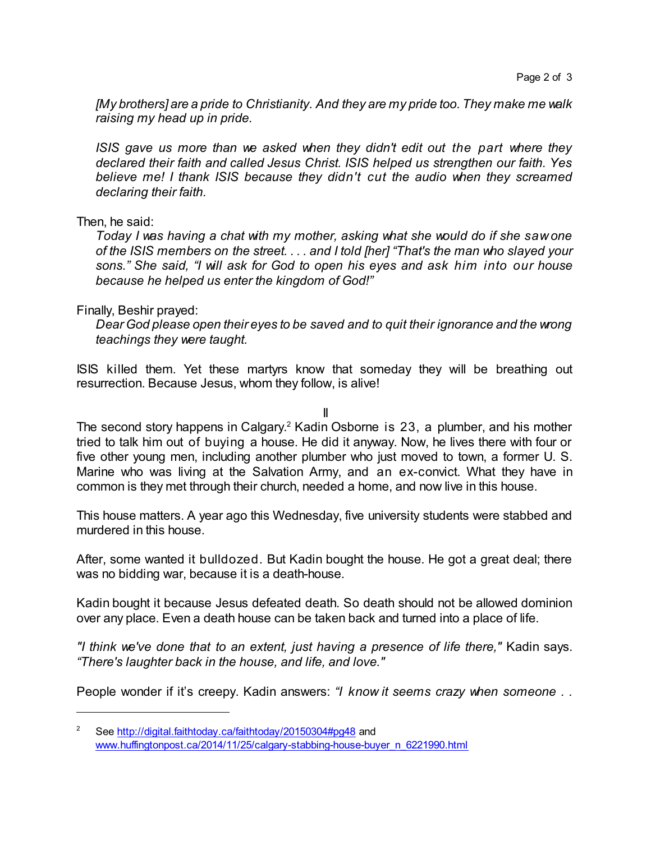*[My brothers] are a pride to Christianity. And they are my pride too. They make me walk raising my head up in pride.*

*ISIS gave us more than we asked when they didn't edit out the part where they declared their faith and called Jesus Christ. ISIS helped us strengthen our faith. Yes believe me! I thank ISIS because they didn't cut the audio when they screamed declaring their faith.*

Then, he said:

*Today I was having a chat with my mother, asking what she would do if she saw one of the ISIS members on the street. . . . and I told [her] "That's the man who slayed your sons." She said, "I will ask for God to open his eyes and ask him into our house because he helped us enter the kingdom of God!"*

## Finally, Beshir prayed:

*Dear God please open their eyes to be saved and to quit their ignorance and the wrong teachings they were taught.*

ISIS killed them. Yet these martyrs know that someday they will be breathing out resurrection. Because Jesus, whom they follow, is alive!

II

The second story happens in Calgary.<sup>2</sup> Kadin Osborne is 23, a plumber, and his mother tried to talk him out of buying a house. He did it anyway. Now, he lives there with four or five other young men, including another plumber who just moved to town, a former U. S. Marine who was living at the Salvation Army, and an ex-convict. What they have in common is they met through their church, needed a home, and now live in this house.

This house matters. A year ago this Wednesday, five university students were stabbed and murdered in this house.

After, some wanted it bulldozed. But Kadin bought the house. He got a great deal; there was no bidding war, because it is a death-house.

Kadin bought it because Jesus defeated death. So death should not be allowed dominion over any place. Even a death house can be taken back and turned into a place of life.

*"I think we've done that to an extent, just having a presence of life there,"* Kadin says. *"There's laughter back in the house, and life, and love."*

People wonder if it's creepy. Kadin answers: *"I know it seems crazy when someone . .*

<sup>&</sup>lt;sup>2</sup> See <http://digital.faithtoday.ca/faithtoday/20150304#pg48> and [www.huffingtonpost.ca/2014/11/25/calgary-stabbing-house-buyer\\_n\\_6221990.html](http://www.huffingtonpost.ca/2014/11/25/calgary-stabbing-house-buyer_n_6221990.html)